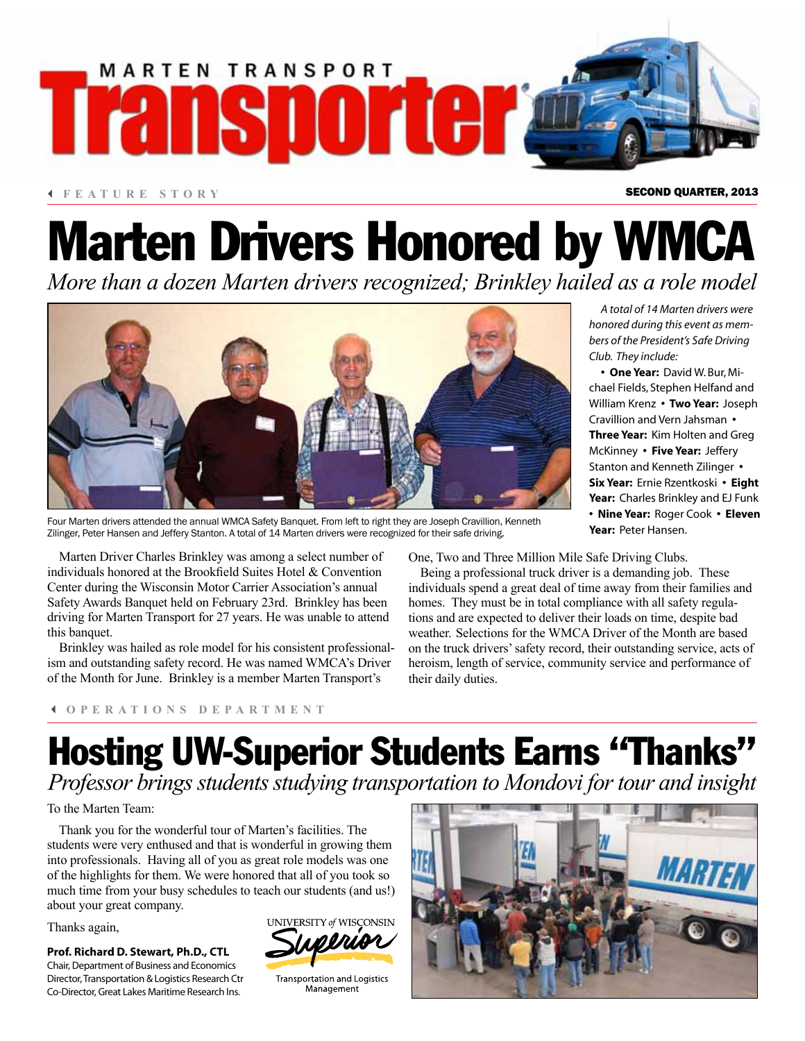

#### FEATURE STORY SECOND QUARTER, 2013

*A total of 14 Marten drivers were honored during this event as members of the President's Safe Driving* 

**• One Year:** David W. Bur, Michael Fields, Stephen Helfand and William Krenz **• Two Year:** Joseph Cravillion and Vern Jahsman **• Three Year:** Kim Holten and Greg McKinney **• Five Year:** Jeffery Stanton and Kenneth Zilinger **• Six Year:** Ernie Rzentkoski **• Eight Year:** Charles Brinkley and EJ Funk **• Nine Year:** Roger Cook **• Eleven** 

*Club. They include:* 

Year: Peter Hansen.

# Marten Drivers Honored by WMCA

*More than a dozen Marten drivers recognized; Brinkley hailed as a role model*



Four Marten drivers attended the annual WMCA Safety Banquet. From left to right they are Joseph Cravillion, Kenneth Zilinger, Peter Hansen and Jeffery Stanton. A total of 14 Marten drivers were recognized for their safe driving.

Marten Driver Charles Brinkley was among a select number of individuals honored at the Brookfield Suites Hotel & Convention Center during the Wisconsin Motor Carrier Association's annual Safety Awards Banquet held on February 23rd. Brinkley has been driving for Marten Transport for 27 years. He was unable to attend this banquet.

Brinkley was hailed as role model for his consistent professionalism and outstanding safety record. He was named WMCA's Driver of the Month for June. Brinkley is a member Marten Transport's

3 **OPERATIONS DEPARTMENT**

One, Two and Three Million Mile Safe Driving Clubs.

Being a professional truck driver is a demanding job. These individuals spend a great deal of time away from their families and homes. They must be in total compliance with all safety regulations and are expected to deliver their loads on time, despite bad weather. Selections for the WMCA Driver of the Month are based on the truck drivers' safety record, their outstanding service, acts of heroism, length of service, community service and performance of their daily duties.

# Hosting UW-Superior Students Earns "Thanks"

*Professor brings students studying transportation to Mondovi for tour and insight*

#### To the Marten Team:

Thank you for the wonderful tour of Marten's facilities. The students were very enthused and that is wonderful in growing them into professionals. Having all of you as great role models was one of the highlights for them. We were honored that all of you took so much time from your busy schedules to teach our students (and us!) about your great company.

Thanks again,

#### **Prof. Richard D. Stewart, Ph.D., CTL**

Chair, Department of Business and Economics Director, Transportation & Logistics Research Ctr Co-Director, Great Lakes Maritime Research Ins.



**Transportation and Logistics** Management

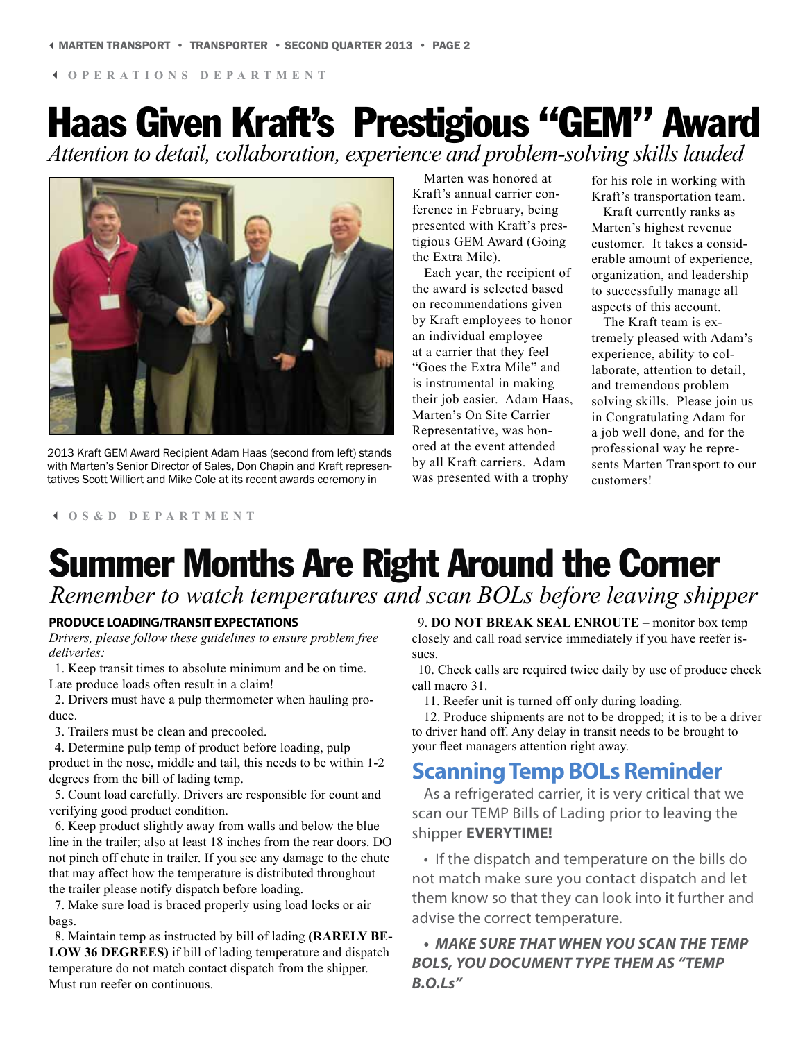3 **OPERATIONS DEPARTMENT**

# Haas Given Kraft's Prestigious "GEM" Award

*Attention to detail, collaboration, experience and problem-solving skills lauded*



2013 Kraft GEM Award Recipient Adam Haas (second from left) stands with Marten's Senior Director of Sales, Don Chapin and Kraft representatives Scott Williert and Mike Cole at its recent awards ceremony in

Marten was honored at Kraft's annual carrier conference in February, being presented with Kraft's prestigious GEM Award (Going the Extra Mile).

Each year, the recipient of the award is selected based on recommendations given by Kraft employees to honor an individual employee at a carrier that they feel "Goes the Extra Mile" and is instrumental in making their job easier. Adam Haas, Marten's On Site Carrier Representative, was honored at the event attended by all Kraft carriers. Adam was presented with a trophy

for his role in working with Kraft's transportation team.

Kraft currently ranks as Marten's highest revenue customer. It takes a considerable amount of experience, organization, and leadership to successfully manage all aspects of this account.

The Kraft team is extremely pleased with Adam's experience, ability to collaborate, attention to detail, and tremendous problem solving skills. Please join us in Congratulating Adam for a job well done, and for the professional way he represents Marten Transport to our customers!

#### 3 **OS&D DEPARTMENT**

# Summer Months Are Right Around the Corner

### *Remember to watch temperatures and scan BOLs before leaving shipper*

#### **PRODUCE LOADING/TRANSIT EXPECTATIONS**

*Drivers, please follow these guidelines to ensure problem free deliveries:*

1. Keep transit times to absolute minimum and be on time. Late produce loads often result in a claim!

2. Drivers must have a pulp thermometer when hauling produce.

3. Trailers must be clean and precooled.

4. Determine pulp temp of product before loading, pulp product in the nose, middle and tail, this needs to be within 1-2 degrees from the bill of lading temp.

5. Count load carefully. Drivers are responsible for count and verifying good product condition.

6. Keep product slightly away from walls and below the blue line in the trailer; also at least 18 inches from the rear doors. DO not pinch off chute in trailer. If you see any damage to the chute that may affect how the temperature is distributed throughout the trailer please notify dispatch before loading.

7. Make sure load is braced properly using load locks or air bags.

8. Maintain temp as instructed by bill of lading **(RARELY BE-LOW 36 DEGREES)** if bill of lading temperature and dispatch temperature do not match contact dispatch from the shipper. Must run reefer on continuous.

9. **DO NOT BREAK SEAL ENROUTE** – monitor box temp closely and call road service immediately if you have reefer issues.

10. Check calls are required twice daily by use of produce check call macro 31.

11. Reefer unit is turned off only during loading.

12. Produce shipments are not to be dropped; it is to be a driver to driver hand off. Any delay in transit needs to be brought to your fleet managers attention right away.

### **Scanning Temp BOLs Reminder**

As a refrigerated carrier, it is very critical that we scan our TEMP Bills of Lading prior to leaving the shipper **EVERYTIME!**

• If the dispatch and temperature on the bills do not match make sure you contact dispatch and let them know so that they can look into it further and advise the correct temperature.

#### **• MAKE SURE THAT WHEN YOU SCAN THE TEMP BOLS, YOU DOCUMENT TYPE THEM AS "TEMP B.O.Ls"**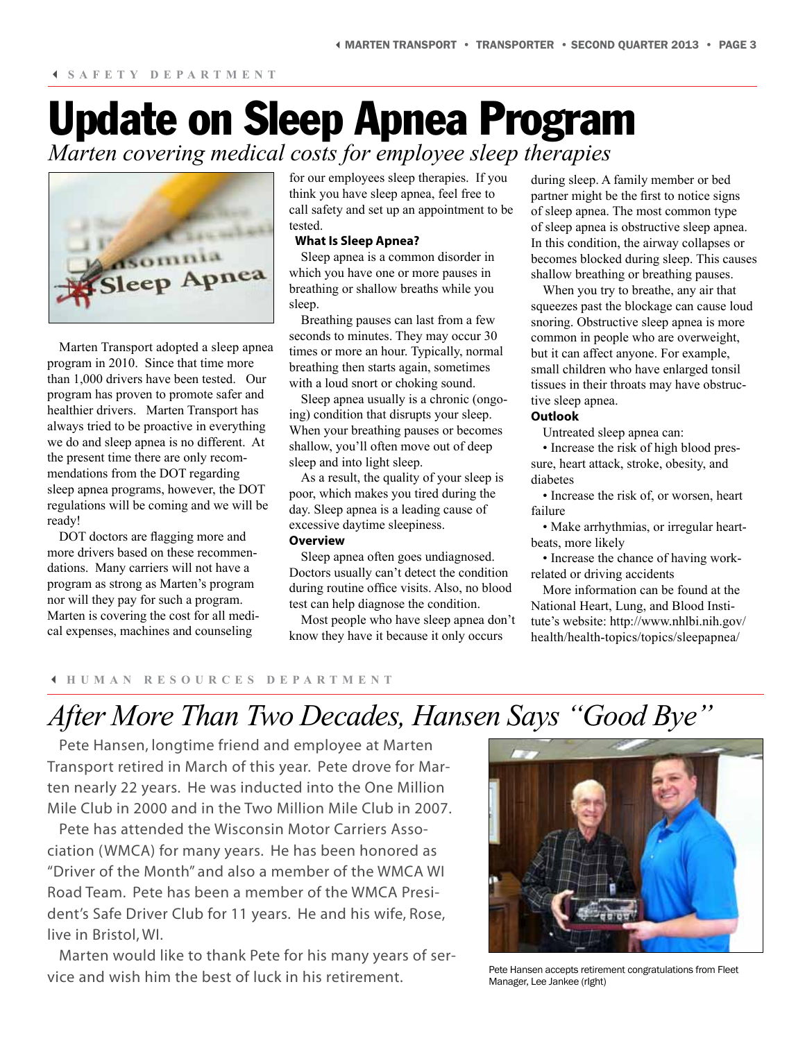## Update on Sleep Apnea Program *Marten covering medical costs for employee sleep therapies*



Marten Transport adopted a sleep apnea program in 2010. Since that time more than 1,000 drivers have been tested. Our program has proven to promote safer and healthier drivers. Marten Transport has always tried to be proactive in everything we do and sleep apnea is no different. At the present time there are only recommendations from the DOT regarding sleep apnea programs, however, the DOT regulations will be coming and we will be ready!

DOT doctors are flagging more and more drivers based on these recommendations. Many carriers will not have a program as strong as Marten's program nor will they pay for such a program. Marten is covering the cost for all medical expenses, machines and counseling

for our employees sleep therapies. If you think you have sleep apnea, feel free to call safety and set up an appointment to be tested.

#### **What Is Sleep Apnea?**

Sleep apnea is a common disorder in which you have one or more pauses in breathing or shallow breaths while you sleep.

Breathing pauses can last from a few seconds to minutes. They may occur 30 times or more an hour. Typically, normal breathing then starts again, sometimes with a loud snort or choking sound.

Sleep apnea usually is a chronic (ongoing) condition that disrupts your sleep. When your breathing pauses or becomes shallow, you'll often move out of deep sleep and into light sleep.

As a result, the quality of your sleep is poor, which makes you tired during the day. Sleep apnea is a leading cause of excessive daytime sleepiness.

#### **Overview**

Sleep apnea often goes undiagnosed. Doctors usually can't detect the condition during routine office visits. Also, no blood test can help diagnose the condition.

Most people who have sleep apnea don't know they have it because it only occurs

during sleep. A family member or bed partner might be the first to notice signs of sleep apnea. The most common type of sleep apnea is obstructive sleep apnea. In this condition, the airway collapses or becomes blocked during sleep. This causes shallow breathing or breathing pauses.

When you try to breathe, any air that squeezes past the blockage can cause loud snoring. Obstructive sleep apnea is more common in people who are overweight, but it can affect anyone. For example, small children who have enlarged tonsil tissues in their throats may have obstructive sleep apnea.

#### **Outlook**

Untreated sleep apnea can:

• Increase the risk of high blood pressure, heart attack, stroke, obesity, and diabetes

• Increase the risk of, or worsen, heart failure

• Make arrhythmias, or irregular heartbeats, more likely

• Increase the chance of having workrelated or driving accidents

More information can be found at the National Heart, Lung, and Blood Institute's website: http://www.nhlbi.nih.gov/ health/health-topics/topics/sleepapnea/

#### 3 **HUMAN RESOURCES DEPARTMENT**

## *After More Than Two Decades, Hansen Says "Good Bye"*

Pete Hansen, longtime friend and employee at Marten Transport retired in March of this year. Pete drove for Marten nearly 22 years. He was inducted into the One Million Mile Club in 2000 and in the Two Million Mile Club in 2007.

Pete has attended the Wisconsin Motor Carriers Association (WMCA) for many years. He has been honored as "Driver of the Month" and also a member of the WMCA WI Road Team. Pete has been a member of the WMCA President's Safe Driver Club for 11 years. He and his wife, Rose, live in Bristol, WI.

Marten would like to thank Pete for his many years of service and wish him the best of luck in his retirement.<br>Manager Lee Jankee (right)



Manager, Lee Jankee (rIght)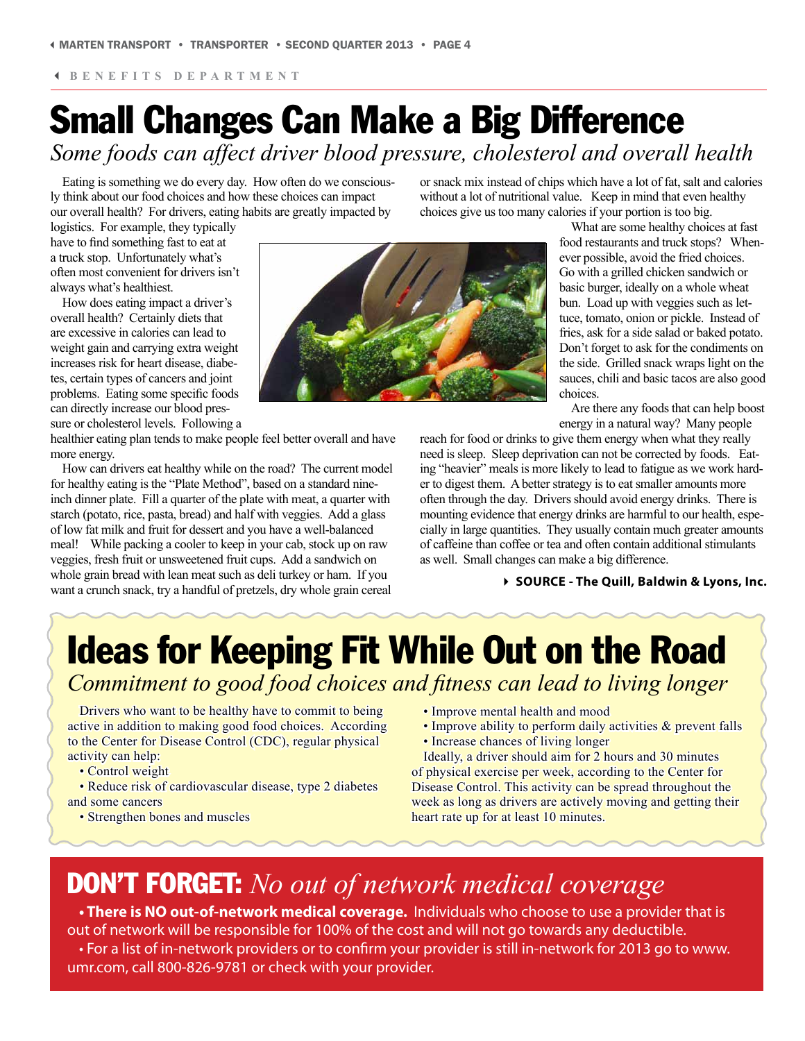#### 3 **BENEFITS DEPARTMENT**

## Small Changes Can Make a Big Difference *Some foods can affect driver blood pressure, cholesterol and overall health*

Eating is something we do every day. How often do we consciously think about our food choices and how these choices can impact our overall health? For drivers, eating habits are greatly impacted by

logistics. For example, they typically have to find something fast to eat at a truck stop. Unfortunately what's often most convenient for drivers isn't always what's healthiest.

How does eating impact a driver's overall health? Certainly diets that are excessive in calories can lead to weight gain and carrying extra weight increases risk for heart disease, diabetes, certain types of cancers and joint problems. Eating some specific foods can directly increase our blood pressure or cholesterol levels. Following a

healthier eating plan tends to make people feel better overall and have more energy.

How can drivers eat healthy while on the road? The current model for healthy eating is the "Plate Method", based on a standard nineinch dinner plate. Fill a quarter of the plate with meat, a quarter with starch (potato, rice, pasta, bread) and half with veggies. Add a glass of low fat milk and fruit for dessert and you have a well-balanced meal! While packing a cooler to keep in your cab, stock up on raw veggies, fresh fruit or unsweetened fruit cups. Add a sandwich on whole grain bread with lean meat such as deli turkey or ham. If you want a crunch snack, try a handful of pretzels, dry whole grain cereal

or snack mix instead of chips which have a lot of fat, salt and calories without a lot of nutritional value. Keep in mind that even healthy choices give us too many calories if your portion is too big.

food restaurants and truck stops? Whenever possible, avoid the fried choices. Go with a grilled chicken sandwich or basic burger, ideally on a whole wheat bun. Load up with veggies such as lettuce, tomato, onion or pickle. Instead of fries, ask for a side salad or baked potato. Don't forget to ask for the condiments on the side. Grilled snack wraps light on the sauces, chili and basic tacos are also good choices.

> Are there any foods that can help boost energy in a natural way? Many people

What are some healthy choices at fast

reach for food or drinks to give them energy when what they really need is sleep. Sleep deprivation can not be corrected by foods. Eating "heavier" meals is more likely to lead to fatigue as we work harder to digest them. A better strategy is to eat smaller amounts more often through the day. Drivers should avoid energy drinks. There is mounting evidence that energy drinks are harmful to our health, especially in large quantities. They usually contain much greater amounts of caffeine than coffee or tea and often contain additional stimulants as well. Small changes can make a big difference.

4 **SOURCE - The Quill, Baldwin & Lyons, Inc.** 

## Ideas for Keeping Fit While Out on the Road *Commitment to good food choices and fitness can lead to living longer*

Drivers who want to be healthy have to commit to being active in addition to making good food choices. According to the Center for Disease Control (CDC), regular physical activity can help:

• Control weight

• Reduce risk of cardiovascular disease, type 2 diabetes and some cancers

• Strengthen bones and muscles

- Improve mental health and mood
- Improve ability to perform daily activities & prevent falls
- Increase chances of living longer

Ideally, a driver should aim for 2 hours and 30 minutes of physical exercise per week, according to the Center for Disease Control. This activity can be spread throughout the week as long as drivers are actively moving and getting their heart rate up for at least 10 minutes.

## DON'T FORGET: *No out of network medical coverage*

**• There is NO out-of-network medical coverage.** Individuals who choose to use a provider that is out of network will be responsible for 100% of the cost and will not go towards any deductible. • For a list of in-network providers or to confirm your provider is still in-network for 2013 go to www. umr.com, call 800-826-9781 or check with your provider.

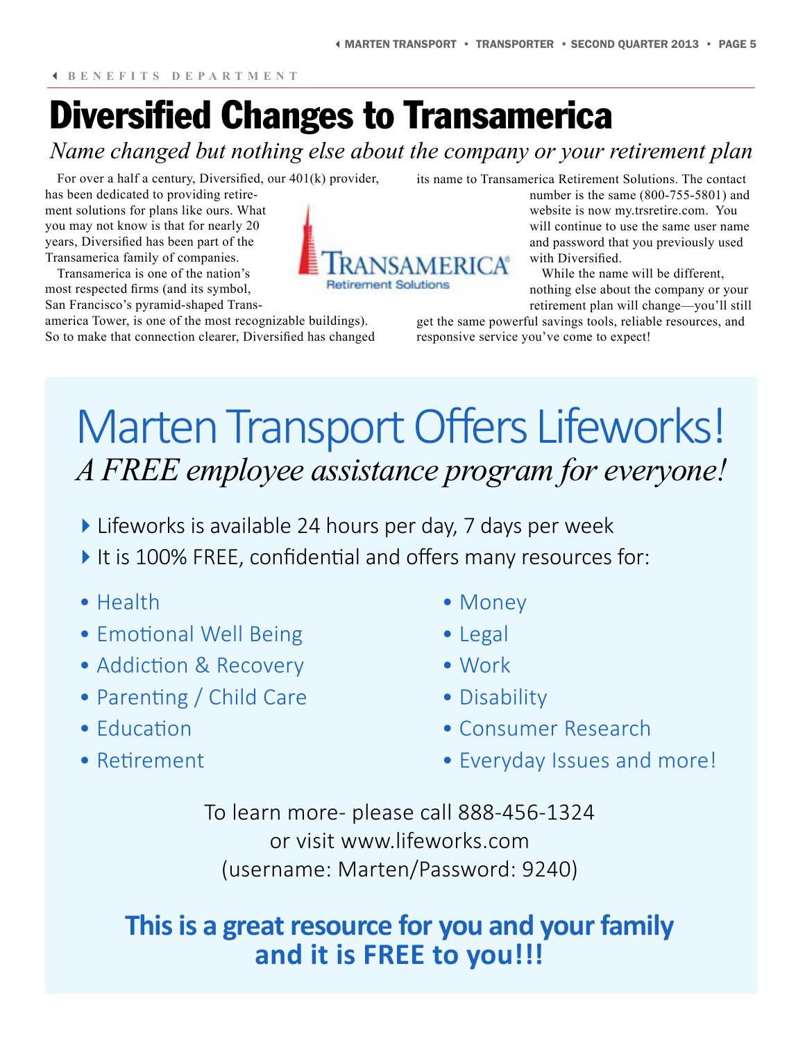# Diversified Changes to Transamerica

*Name changed but nothing else about the company or your retirement plan*

For over a half a century, Diversified, our 401(k) provider,

has been dedicated to providing retirement solutions for plans like ours. What you may not know is that for nearly 20 years, Diversified has been part of the Transamerica family of companies.

Transamerica is one of the nation's most respected firms (and its symbol, San Francisco's pyramid-shaped Trans-

america Tower, is one of the most recognizable buildings). So to make that connection clearer, Diversified has changed its name to Transamerica Retirement Solutions. The contact

number is the same (800-755-5801) and website is now my.trsretire.com. You will continue to use the same user name and password that you previously used with Diversified.

While the name will be different, nothing else about the company or your retirement plan will change—you'll still

get the same powerful savings tools, reliable resources, and responsive service you've come to expect!

# Marten Transport Offers Lifeworks! *A FREE employee assistance program for everyone!*

- ▶ Lifeworks is available 24 hours per day, 7 days per week
- It is 100% FREE, confidential and offers many resources for:
- Health
- Emotional Well Being
- Addiction & Recovery
- Parenting / Child Care
- Education
- Retirement
- Money
- Legal
- Work
- Disability
- Consumer Research
- Everyday Issues and more!

To learn more- please call 888-456-1324 or visit www.lifeworks.com (username: Marten/Password: 9240)

### **This is a great resource for you and your family and it is FREE to you!!!**